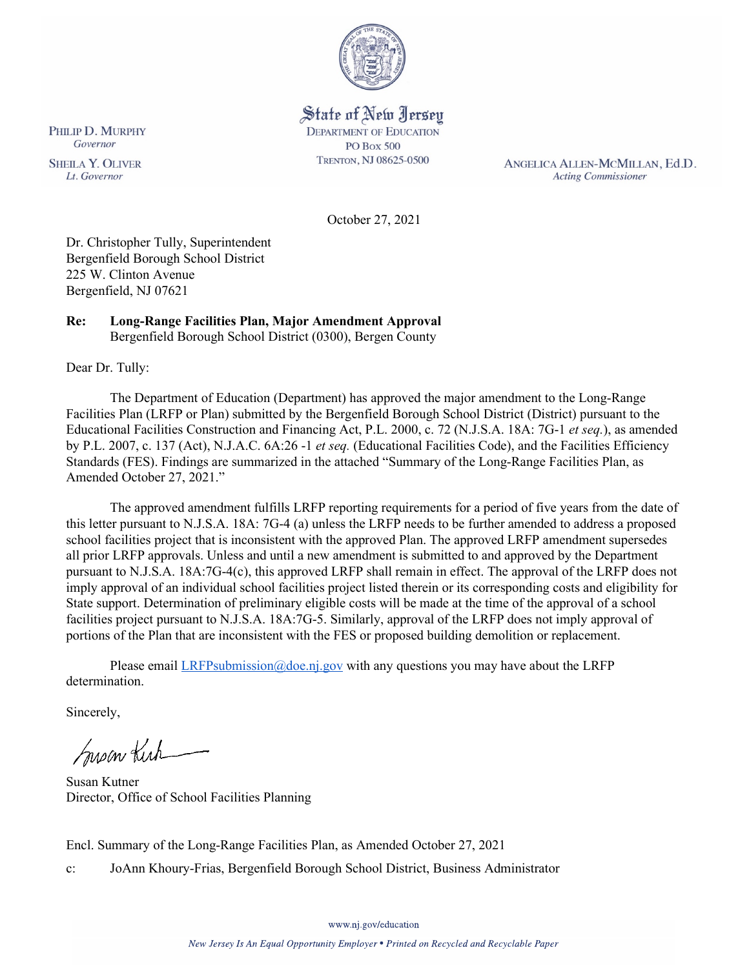

# State of New Jersey **DEPARTMENT OF EDUCATION**

**PO Box 500** TRENTON, NJ 08625-0500

ANGELICA ALLEN-MCMILLAN, Ed.D. **Acting Commissioner** 

October 27, 2021

Dr. Christopher Tully, Superintendent Bergenfield Borough School District 225 W. Clinton Avenue Bergenfield, NJ 07621

#### **Re: Long-Range Facilities Plan, Major Amendment Approval** Bergenfield Borough School District (0300), Bergen County

Dear Dr. Tully:

The Department of Education (Department) has approved the major amendment to the Long-Range Facilities Plan (LRFP or Plan) submitted by the Bergenfield Borough School District (District) pursuant to the Educational Facilities Construction and Financing Act, P.L. 2000, c. 72 (N.J.S.A. 18A: 7G-1 *et seq.*), as amended by P.L. 2007, c. 137 (Act), N.J.A.C. 6A:26 -1 *et seq.* (Educational Facilities Code), and the Facilities Efficiency Standards (FES). Findings are summarized in the attached "Summary of the Long-Range Facilities Plan, as Amended October 27, 2021."

The approved amendment fulfills LRFP reporting requirements for a period of five years from the date of this letter pursuant to N.J.S.A. 18A: 7G-4 (a) unless the LRFP needs to be further amended to address a proposed school facilities project that is inconsistent with the approved Plan. The approved LRFP amendment supersedes all prior LRFP approvals. Unless and until a new amendment is submitted to and approved by the Department pursuant to N.J.S.A. 18A:7G-4(c), this approved LRFP shall remain in effect. The approval of the LRFP does not imply approval of an individual school facilities project listed therein or its corresponding costs and eligibility for State support. Determination of preliminary eligible costs will be made at the time of the approval of a school facilities project pursuant to N.J.S.A. 18A:7G-5. Similarly, approval of the LRFP does not imply approval of portions of the Plan that are inconsistent with the FES or proposed building demolition or replacement.

Please email  $LRFP submission@doe.nj.gov$  with any questions you may have about the LRFP determination.

Sincerely,

Susan Kich

Susan Kutner Director, Office of School Facilities Planning

Encl. Summary of the Long-Range Facilities Plan, as Amended October 27, 2021

c: JoAnn Khoury-Frias, Bergenfield Borough School District, Business Administrator

**SHEILA Y. OLIVER** Lt. Governor

PHILIP D. MURPHY

Governor

www.nj.gov/education

New Jersey Is An Equal Opportunity Employer . Printed on Recycled and Recyclable Paper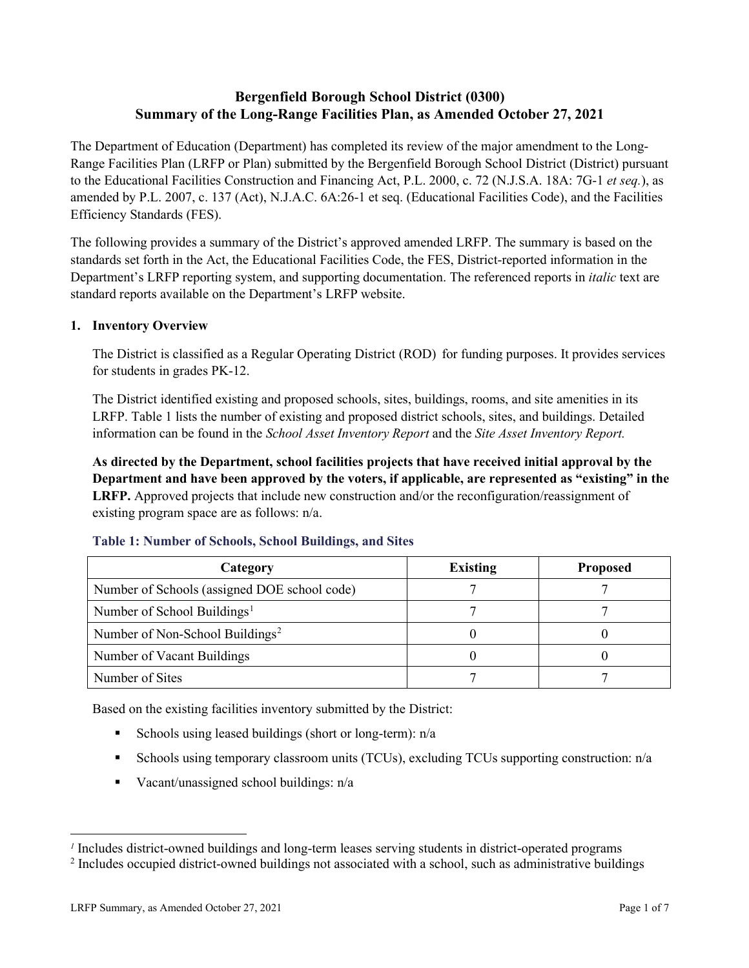# **Bergenfield Borough School District (0300) Summary of the Long-Range Facilities Plan, as Amended October 27, 2021**

The Department of Education (Department) has completed its review of the major amendment to the Long-Range Facilities Plan (LRFP or Plan) submitted by the Bergenfield Borough School District (District) pursuant to the Educational Facilities Construction and Financing Act, P.L. 2000, c. 72 (N.J.S.A. 18A: 7G-1 *et seq.*), as amended by P.L. 2007, c. 137 (Act), N.J.A.C. 6A:26-1 et seq. (Educational Facilities Code), and the Facilities Efficiency Standards (FES).

The following provides a summary of the District's approved amended LRFP. The summary is based on the standards set forth in the Act, the Educational Facilities Code, the FES, District-reported information in the Department's LRFP reporting system, and supporting documentation. The referenced reports in *italic* text are standard reports available on the Department's LRFP website.

## **1. Inventory Overview**

The District is classified as a Regular Operating District (ROD) for funding purposes. It provides services for students in grades PK-12.

The District identified existing and proposed schools, sites, buildings, rooms, and site amenities in its LRFP. Table 1 lists the number of existing and proposed district schools, sites, and buildings. Detailed information can be found in the *School Asset Inventory Report* and the *Site Asset Inventory Report.*

**As directed by the Department, school facilities projects that have received initial approval by the Department and have been approved by the voters, if applicable, are represented as "existing" in the LRFP.** Approved projects that include new construction and/or the reconfiguration/reassignment of existing program space are as follows: n/a.

| Category                                     | <b>Existing</b> | <b>Proposed</b> |
|----------------------------------------------|-----------------|-----------------|
| Number of Schools (assigned DOE school code) |                 |                 |
| Number of School Buildings <sup>1</sup>      |                 |                 |
| Number of Non-School Buildings <sup>2</sup>  |                 |                 |
| Number of Vacant Buildings                   |                 |                 |
| Number of Sites                              |                 |                 |

## **Table 1: Number of Schools, School Buildings, and Sites**

Based on the existing facilities inventory submitted by the District:

- Schools using leased buildings (short or long-term):  $n/a$
- Schools using temporary classroom units (TCUs), excluding TCUs supporting construction: n/a
- Vacant/unassigned school buildings:  $n/a$

<span id="page-1-0"></span>*<sup>1</sup>* Includes district-owned buildings and long-term leases serving students in district-operated programs

<span id="page-1-1"></span><sup>&</sup>lt;sup>2</sup> Includes occupied district-owned buildings not associated with a school, such as administrative buildings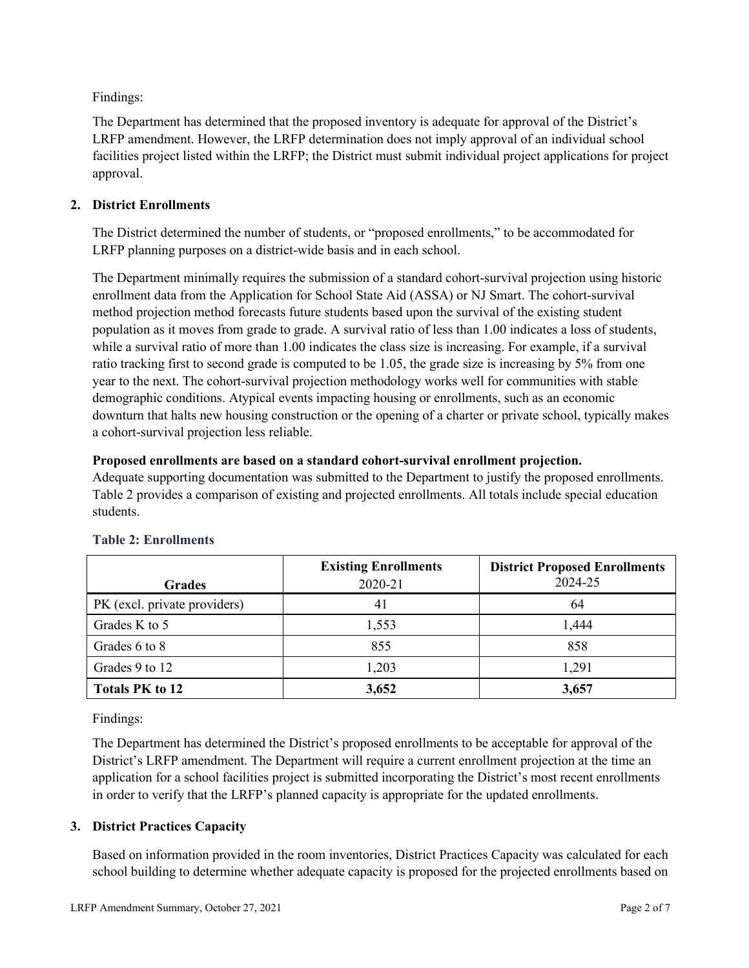Findings:

The Department has determined that the proposed inventory is adequate for approval of the District's LRFP amendment. However, the LRFP determination does not imply approval of an individual school facilities project listed within the LRFP; the District must submit individual project applications for project approval.

## **2. District Enrollments**

The District determined the number of students, or "proposed enrollments," to be accommodated for LRFP planning purposes on a district-wide basis and in each school.

The Department minimally requires the submission of a standard cohort-survival projection using historic enrollment data from the Application for School State Aid (ASSA) or NJ Smart. The cohort-survival method projection method forecasts future students based upon the survival of the existing student population as it moves from grade to grade. A survival ratio of less than 1.00 indicates a loss of students, while a survival ratio of more than 1.00 indicates the class size is increasing. For example, if a survival ratio tracking first to second grade is computed to be 1.05, the grade size is increasing by 5% from one year to the next. The cohort-survival projection methodology works well for communities with stable demographic conditions. Atypical events impacting housing or enrollments, such as an economic downturn that halts new housing construction or the opening of a charter or private school, typically makes a cohort-survival projection less reliable.

## **Proposed enrollments are based on a standard cohort-survival enrollment projection.**

Adequate supporting documentation was submitted to the Department to justify the proposed enrollments. Table 2 provides a comparison of existing and projected enrollments. All totals include special education students.

|                              | <b>Existing Enrollments</b> | <b>District Proposed Enrollments</b> |
|------------------------------|-----------------------------|--------------------------------------|
| <b>Grades</b>                | 2020-21                     | 2024-25                              |
| PK (excl. private providers) | 41                          | 64                                   |
| Grades K to 5                | 1,553                       | 1,444                                |
| Grades 6 to 8                | 855                         | 858                                  |
| Grades 9 to 12               | 1,203                       | 1,291                                |
| <b>Totals PK to 12</b>       | 3,652                       | 3,657                                |

# **Table 2: Enrollments**

Findings:

The Department has determined the District's proposed enrollments to be acceptable for approval of the District's LRFP amendment. The Department will require a current enrollment projection at the time an application for a school facilities project is submitted incorporating the District's most recent enrollments in order to verify that the LRFP's planned capacity is appropriate for the updated enrollments.

# **3. District Practices Capacity**

Based on information provided in the room inventories, District Practices Capacity was calculated for each school building to determine whether adequate capacity is proposed for the projected enrollments based on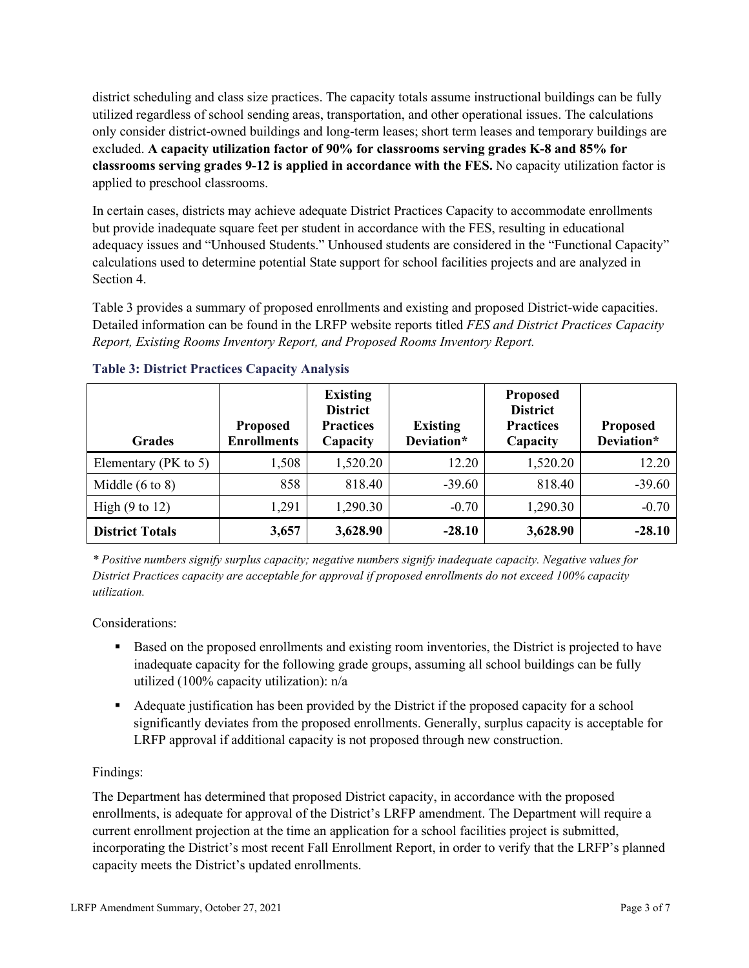district scheduling and class size practices. The capacity totals assume instructional buildings can be fully utilized regardless of school sending areas, transportation, and other operational issues. The calculations only consider district-owned buildings and long-term leases; short term leases and temporary buildings are excluded. **A capacity utilization factor of 90% for classrooms serving grades K-8 and 85% for classrooms serving grades 9-12 is applied in accordance with the FES.** No capacity utilization factor is applied to preschool classrooms.

In certain cases, districts may achieve adequate District Practices Capacity to accommodate enrollments but provide inadequate square feet per student in accordance with the FES, resulting in educational adequacy issues and "Unhoused Students." Unhoused students are considered in the "Functional Capacity" calculations used to determine potential State support for school facilities projects and are analyzed in Section 4.

Table 3 provides a summary of proposed enrollments and existing and proposed District-wide capacities. Detailed information can be found in the LRFP website reports titled *FES and District Practices Capacity Report, Existing Rooms Inventory Report, and Proposed Rooms Inventory Report.*

| <b>Grades</b>              | <b>Proposed</b><br><b>Enrollments</b> | <b>Existing</b><br><b>District</b><br><b>Practices</b><br>Capacity | <b>Existing</b><br>Deviation* | <b>Proposed</b><br><b>District</b><br><b>Practices</b><br>Capacity | <b>Proposed</b><br>Deviation* |
|----------------------------|---------------------------------------|--------------------------------------------------------------------|-------------------------------|--------------------------------------------------------------------|-------------------------------|
| Elementary ( $PK$ to 5)    | 1,508                                 | 1,520.20                                                           | 12.20                         | 1,520.20                                                           | 12.20                         |
| Middle $(6 \text{ to } 8)$ | 858                                   | 818.40                                                             | $-39.60$                      | 818.40                                                             | $-39.60$                      |
| High $(9 \text{ to } 12)$  | 1,291                                 | 1,290.30                                                           | $-0.70$                       | 1,290.30                                                           | $-0.70$                       |
| <b>District Totals</b>     | 3,657                                 | 3,628.90                                                           | $-28.10$                      | 3,628.90                                                           | $-28.10$                      |

## **Table 3: District Practices Capacity Analysis**

*\* Positive numbers signify surplus capacity; negative numbers signify inadequate capacity. Negative values for District Practices capacity are acceptable for approval if proposed enrollments do not exceed 100% capacity utilization.*

Considerations:

- Based on the proposed enrollments and existing room inventories, the District is projected to have inadequate capacity for the following grade groups, assuming all school buildings can be fully utilized (100% capacity utilization): n/a
- Adequate justification has been provided by the District if the proposed capacity for a school significantly deviates from the proposed enrollments. Generally, surplus capacity is acceptable for LRFP approval if additional capacity is not proposed through new construction.

## Findings:

The Department has determined that proposed District capacity, in accordance with the proposed enrollments, is adequate for approval of the District's LRFP amendment. The Department will require a current enrollment projection at the time an application for a school facilities project is submitted, incorporating the District's most recent Fall Enrollment Report, in order to verify that the LRFP's planned capacity meets the District's updated enrollments.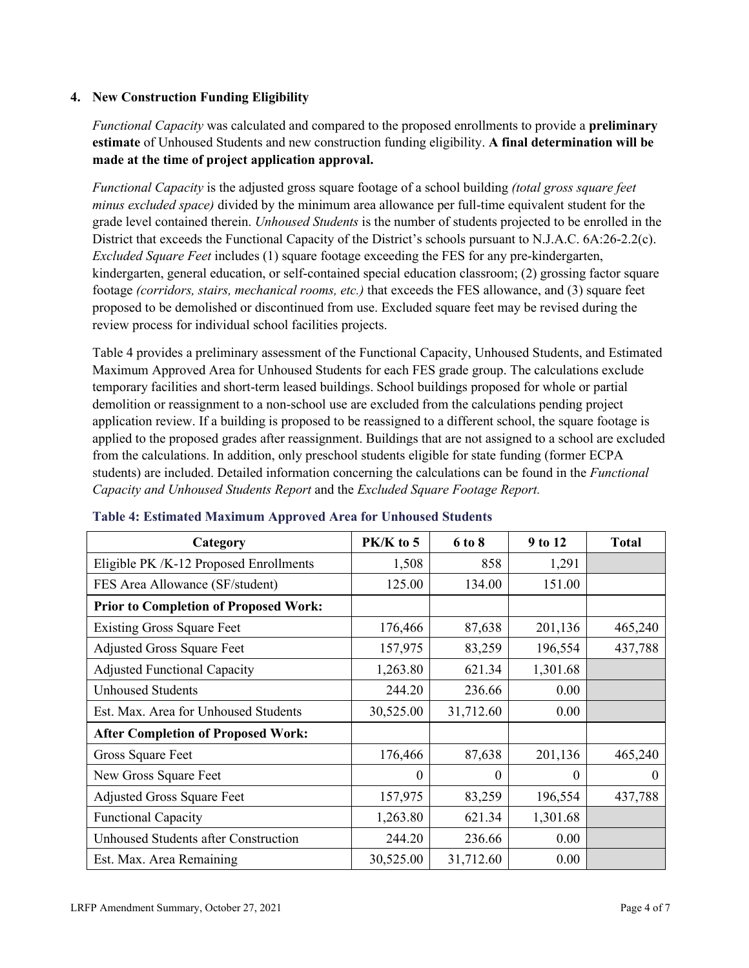#### **4. New Construction Funding Eligibility**

*Functional Capacity* was calculated and compared to the proposed enrollments to provide a **preliminary estimate** of Unhoused Students and new construction funding eligibility. **A final determination will be made at the time of project application approval.**

*Functional Capacity* is the adjusted gross square footage of a school building *(total gross square feet minus excluded space)* divided by the minimum area allowance per full-time equivalent student for the grade level contained therein. *Unhoused Students* is the number of students projected to be enrolled in the District that exceeds the Functional Capacity of the District's schools pursuant to N.J.A.C. 6A:26-2.2(c). *Excluded Square Feet* includes (1) square footage exceeding the FES for any pre-kindergarten, kindergarten, general education, or self-contained special education classroom; (2) grossing factor square footage *(corridors, stairs, mechanical rooms, etc.)* that exceeds the FES allowance, and (3) square feet proposed to be demolished or discontinued from use. Excluded square feet may be revised during the review process for individual school facilities projects.

Table 4 provides a preliminary assessment of the Functional Capacity, Unhoused Students, and Estimated Maximum Approved Area for Unhoused Students for each FES grade group. The calculations exclude temporary facilities and short-term leased buildings. School buildings proposed for whole or partial demolition or reassignment to a non-school use are excluded from the calculations pending project application review. If a building is proposed to be reassigned to a different school, the square footage is applied to the proposed grades after reassignment. Buildings that are not assigned to a school are excluded from the calculations. In addition, only preschool students eligible for state funding (former ECPA students) are included. Detailed information concerning the calculations can be found in the *Functional Capacity and Unhoused Students Report* and the *Excluded Square Footage Report.*

| Category                                     | $PK/K$ to 5 | 6 to 8    | 9 to 12  | <b>Total</b> |
|----------------------------------------------|-------------|-----------|----------|--------------|
| Eligible PK /K-12 Proposed Enrollments       | 1,508       | 858       | 1,291    |              |
| FES Area Allowance (SF/student)              | 125.00      | 134.00    | 151.00   |              |
| <b>Prior to Completion of Proposed Work:</b> |             |           |          |              |
| <b>Existing Gross Square Feet</b>            | 176,466     | 87,638    | 201,136  | 465,240      |
| <b>Adjusted Gross Square Feet</b>            | 157,975     | 83,259    | 196,554  | 437,788      |
| <b>Adjusted Functional Capacity</b>          | 1,263.80    | 621.34    | 1,301.68 |              |
| <b>Unhoused Students</b>                     | 244.20      | 236.66    | 0.00     |              |
| Est. Max. Area for Unhoused Students         | 30,525.00   | 31,712.60 | 0.00     |              |
| <b>After Completion of Proposed Work:</b>    |             |           |          |              |
| Gross Square Feet                            | 176,466     | 87,638    | 201,136  | 465,240      |
| New Gross Square Feet                        | $\theta$    | 0         | $\theta$ | $\Omega$     |
| <b>Adjusted Gross Square Feet</b>            | 157,975     | 83,259    | 196,554  | 437,788      |
| <b>Functional Capacity</b>                   | 1,263.80    | 621.34    | 1,301.68 |              |
| <b>Unhoused Students after Construction</b>  | 244.20      | 236.66    | 0.00     |              |
| Est. Max. Area Remaining                     | 30,525.00   | 31,712.60 | 0.00     |              |

#### **Table 4: Estimated Maximum Approved Area for Unhoused Students**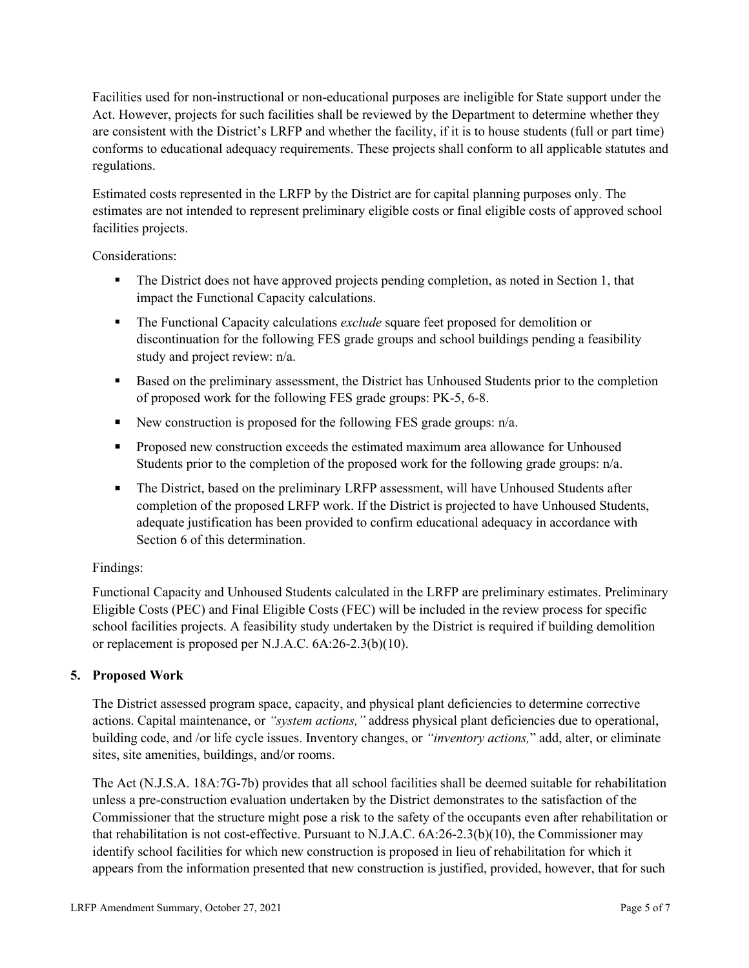Facilities used for non-instructional or non-educational purposes are ineligible for State support under the Act. However, projects for such facilities shall be reviewed by the Department to determine whether they are consistent with the District's LRFP and whether the facility, if it is to house students (full or part time) conforms to educational adequacy requirements. These projects shall conform to all applicable statutes and regulations.

Estimated costs represented in the LRFP by the District are for capital planning purposes only. The estimates are not intended to represent preliminary eligible costs or final eligible costs of approved school facilities projects.

Considerations:

- The District does not have approved projects pending completion, as noted in Section 1, that impact the Functional Capacity calculations.
- **The Functional Capacity calculations** *exclude* square feet proposed for demolition or discontinuation for the following FES grade groups and school buildings pending a feasibility study and project review: n/a.
- Based on the preliminary assessment, the District has Unhoused Students prior to the completion of proposed work for the following FES grade groups: PK-5, 6-8.
- New construction is proposed for the following FES grade groups: n/a.
- Proposed new construction exceeds the estimated maximum area allowance for Unhoused Students prior to the completion of the proposed work for the following grade groups: n/a.
- The District, based on the preliminary LRFP assessment, will have Unhoused Students after completion of the proposed LRFP work. If the District is projected to have Unhoused Students, adequate justification has been provided to confirm educational adequacy in accordance with Section 6 of this determination.

## Findings:

Functional Capacity and Unhoused Students calculated in the LRFP are preliminary estimates. Preliminary Eligible Costs (PEC) and Final Eligible Costs (FEC) will be included in the review process for specific school facilities projects. A feasibility study undertaken by the District is required if building demolition or replacement is proposed per N.J.A.C. 6A:26-2.3(b)(10).

## **5. Proposed Work**

The District assessed program space, capacity, and physical plant deficiencies to determine corrective actions. Capital maintenance, or *"system actions,"* address physical plant deficiencies due to operational, building code, and /or life cycle issues. Inventory changes, or *"inventory actions,*" add, alter, or eliminate sites, site amenities, buildings, and/or rooms.

The Act (N.J.S.A. 18A:7G-7b) provides that all school facilities shall be deemed suitable for rehabilitation unless a pre-construction evaluation undertaken by the District demonstrates to the satisfaction of the Commissioner that the structure might pose a risk to the safety of the occupants even after rehabilitation or that rehabilitation is not cost-effective. Pursuant to N.J.A.C. 6A:26-2.3(b)(10), the Commissioner may identify school facilities for which new construction is proposed in lieu of rehabilitation for which it appears from the information presented that new construction is justified, provided, however, that for such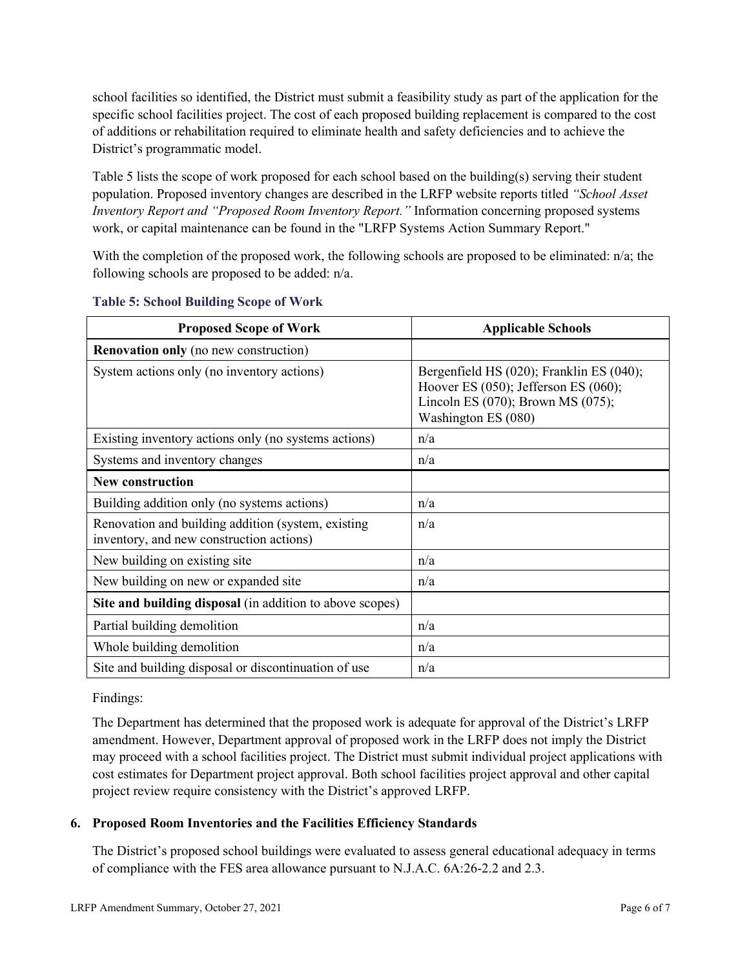school facilities so identified, the District must submit a feasibility study as part of the application for the specific school facilities project. The cost of each proposed building replacement is compared to the cost of additions or rehabilitation required to eliminate health and safety deficiencies and to achieve the District's programmatic model.

Table 5 lists the scope of work proposed for each school based on the building(s) serving their student population. Proposed inventory changes are described in the LRFP website reports titled *"School Asset Inventory Report and "Proposed Room Inventory Report."* Information concerning proposed systems work, or capital maintenance can be found in the "LRFP Systems Action Summary Report."

With the completion of the proposed work, the following schools are proposed to be eliminated: n/a; the following schools are proposed to be added: n/a.

| <b>Proposed Scope of Work</b>                                                                  | <b>Applicable Schools</b>                                                                                                                                |
|------------------------------------------------------------------------------------------------|----------------------------------------------------------------------------------------------------------------------------------------------------------|
| <b>Renovation only (no new construction)</b>                                                   |                                                                                                                                                          |
| System actions only (no inventory actions)                                                     | Bergenfield HS (020); Franklin ES (040);<br>Hoover ES $(050)$ ; Jefferson ES $(060)$ ;<br>Lincoln ES $(070)$ ; Brown MS $(075)$ ;<br>Washington ES (080) |
| Existing inventory actions only (no systems actions)                                           | n/a                                                                                                                                                      |
| Systems and inventory changes                                                                  | n/a                                                                                                                                                      |
| <b>New construction</b>                                                                        |                                                                                                                                                          |
| Building addition only (no systems actions)                                                    | n/a                                                                                                                                                      |
| Renovation and building addition (system, existing<br>inventory, and new construction actions) | n/a                                                                                                                                                      |
| New building on existing site                                                                  | n/a                                                                                                                                                      |
| New building on new or expanded site                                                           | n/a                                                                                                                                                      |
| Site and building disposal (in addition to above scopes)                                       |                                                                                                                                                          |
| Partial building demolition                                                                    | n/a                                                                                                                                                      |
| Whole building demolition                                                                      | n/a                                                                                                                                                      |
| Site and building disposal or discontinuation of use                                           | n/a                                                                                                                                                      |

#### **Table 5: School Building Scope of Work**

#### Findings:

The Department has determined that the proposed work is adequate for approval of the District's LRFP amendment. However, Department approval of proposed work in the LRFP does not imply the District may proceed with a school facilities project. The District must submit individual project applications with cost estimates for Department project approval. Both school facilities project approval and other capital project review require consistency with the District's approved LRFP.

## **6. Proposed Room Inventories and the Facilities Efficiency Standards**

The District's proposed school buildings were evaluated to assess general educational adequacy in terms of compliance with the FES area allowance pursuant to N.J.A.C. 6A:26-2.2 and 2.3.